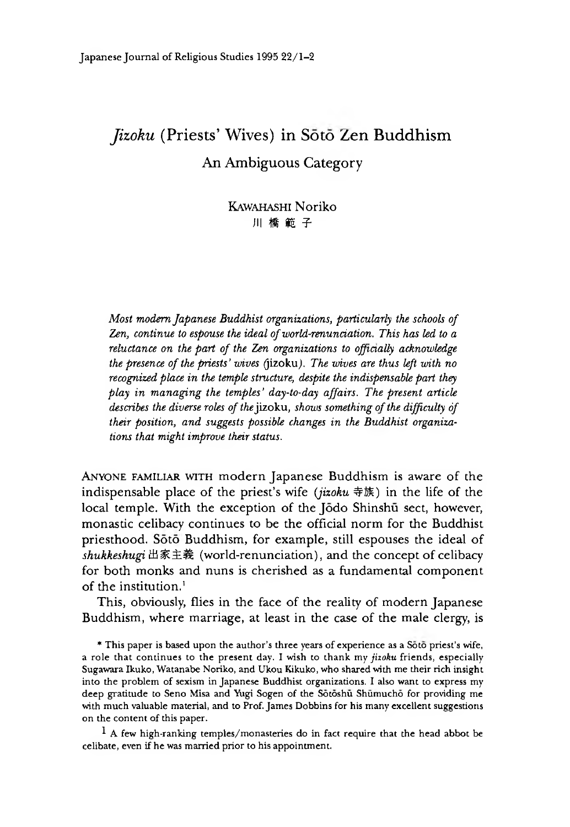# *Jizoku* (Priests' Wives) in Sōtō Zen Buddhism **An Ambiguous Category**

# Kawahashi Noriko 川橋範子

*Most modern Japanese Buddhist organizations, particularly the schools of* Zen, continue to espouse the ideal of world-renunciation. This has led to a *reluctance on the part of the Zen organizations to officially acknowledge the presence of the priests' wives* (jizoku). The wives are thus left with no *recognized place in the temple structure, despite the indispensable part they play in managing the temples' day-to-day affairs.1 he present article* describes the diverse roles of the jizoku, shows something of the difficulty of their position, and suggests possible changes in the Buddhist organiza*tions that might improve their status.*

ANYONE FAMILIAR WITH modern Japanese Buddhism is aware of the indispensable place of the priest's wife *{jizoku* 寺族)in the life of the local temple. With the exception of the Jōdo Shinshū sect, however, monastic celibacy continues to be the official norm for the Buddhist priesthood. Soto Buddhism, for example, still espouses the ideal of *shukkeshugi* 出家主義(world-renunciation), and the concept of celibacy for both monks and nuns is cherished as a fundamental component of the institution.1

This, obviously, flies in the face of the reality of modern Japanese Buddhism, where marriage, at least in the case of the male clergy, is

\* This paper is based upon the author's three years of experience as a Sōtō priest's wife, a role that continues to the present day. I wish to thank my *jizoku* friends, especially Sugawara Ikuko, Watanabe Noriko, and Ukou Kikuko, who shared with me their rich insight into the problem of sexism in Japanese Buddhist organizations, I also want to express my deep gratitude to Seno Misa and Yugi Sogen of the Sotoshu Shumucho for providing me with much valuable material, and to Prof. James Dobbins for his many excellent suggestions on the content of this paper.

<sup>1</sup> A few high-ranking temples/monasteries do in fact require that the head abbot be celibate, even if he was married prior to his appointment.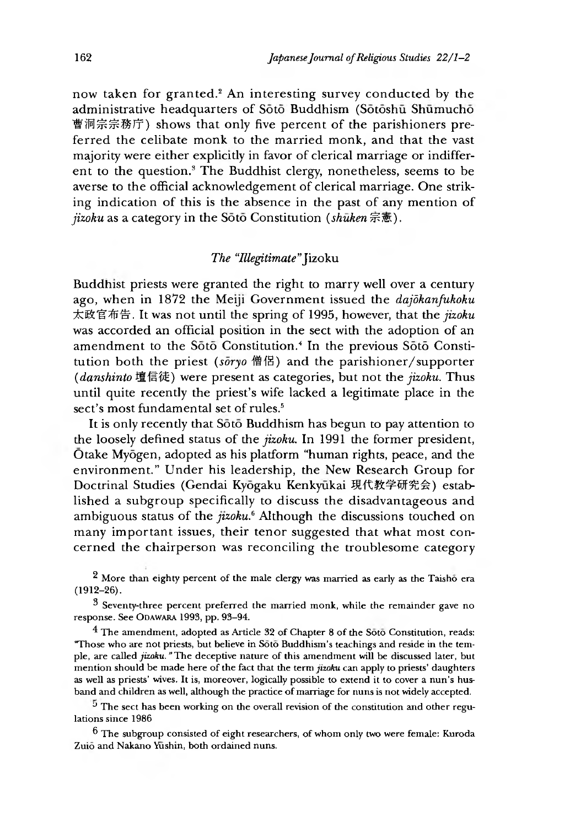now taken for granted.<sup>2</sup> An interesting survey conducted by the administrative headquarters of Sōtō Buddhism (Sōtōshū Shūmuchō 曹洞宗宗務庁) shows that only five percent of the parishioners preferred the celibate monk to the married monk, and that the vast majority were either explicitly in favor of clerical marriage or indifferent to the question.3 The Buddhist clergy, nonetheless, seems to be averse to the official acknowledgement of clerical marriage. One striking indication of this is the absence in the past of any mention of *jizoku* as a category in the Soto Constitution *(shuken*宗憲).

### *The "Illegitimate"Jizoku*

Buddhist priests were granted the right to marry well over a century ago, when in 1872 the Meiji Government issued the *dajokanfukoku* 太政官布告. It was not until the spring of 1995 however, that the *jizoku* was accorded an official position in the sect with the adoption of an amendment to the Sōtō Constitution.<sup>4</sup> In the previous Sōtō Constitution both the priest *(soryo*僧侶) and the parishioner/supporter *(danshinto* 壇信徒) were present as categories, but not the *jizoku.* Thus until quite recently the priest's wife lacked a legitimate place in the sect's most fundamental set of rules.<sup>5</sup>

It is only recently that Soto Buddhism has begun to pay attention to the loosely defined status of the *jizoku.* In 1991 the former president, Otake Myogen, adopted as his platform "human rights, peace, and the environment." Under his leadership, the New Research Group for Doctrinal Studies (Gendai Kyōgaku Kenkyūkai 現代教学研究会) established a subgroup specifically to discuss the disadvantageous and ambiguous status of the *jizoku*.<sup>6</sup> Although the discussions touched on many important issues, their tenor suggested that what most concerned the chairperson was reconciling the troublesome category

*°* The sect has been working on the overall revision of the constitution and other regulations since 1986

 $6$  The subgroup consisted of eight researchers, of whom only two were female: Kuroda Zuio and Nakano Yushin, both ordained nuns.

 $2$  More than eighty percent of the male clergy was married as early as the Taisho era  $(1912 - 26)$ .

 $3$  Seventy-three percent preferred the married monk, while the remainder gave no response. See ODAWARA 1993, pp. 93-94.

 $<sup>4</sup>$  The amendment, adopted as Article 32 of Chapter 8 of the Sōtō Constitution, reads:</sup> Those who are not priests, but believe in Soto Buddhism's teachings and reside in the temple, are called *jizoku."* The deceptive nature of this amendment will be discussed later, but mention should be made here of the fact that the term *jizoku* can apply to priests' daughters as well as priests' wives. It is, moreover, logically possible to extend it to cover a nun's husband and children as well, although the practice of marriage for nuns is not widely accepted.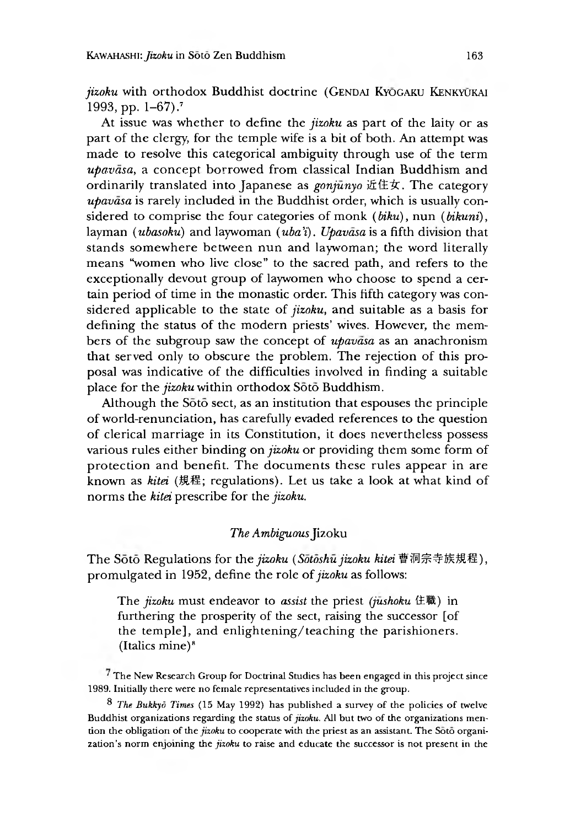$jizoku$  with orthodox Buddhist doctrine (GENDAI KYOGAKU KENKYŪKAI 1993, pp.  $1-67$ .<sup>7</sup>

At issue was whether to define the *jizoku* as part of the laity or as part of the clergy, for the temple wife is a bit of both. An attempt was made to resolve this categorical ambiguity through use of the term *upavasa,* a concept borrowed from classical Indian Buddhism and ordinarily translated into Japanese as *gonjunyo* 近住女. The category *upavasa* is rarely included in the Buddhist order, which is usually considered to comprise the four categories of monk (*biku),* nun (*bikuni)*, layman *(ubasoku)* and laywoman *(uba'i)*. Upavasa is a fifth division that stands somewhere between nun and laywoman; the word literally means "women who live close" to the sacred path, and refers to the exceptionally devout group of laywomen who choose to spend a certain period of time in the monastic order. This fitth category was considered applicable to the state of *jizoku,* and suitable as a basis for defining the status of the modern priests' wives. However, the members of the subgroup saw the concept of *upavasa* as an anachronism that served only to obscure the problem. The rejection of this proposal was indicative of the difficulties involved in finding a suitable place for the *jizoku* within orthodox Soto Buddhism.

Although the Soto sect, as an institution that espouses the principle of world-renunciation, has carefully evaded references to the question of clerical marriage in its Constitution, it does nevertheless possess various rules either binding on *jizoku* or providing them some form of protection and benefit. The documents these rules appear in are known as *kitei* (規程; regulations). Let us take a look at what kind of norms the *kitei* prescribe for the *jizoku.*

## *The Ambiguous jizoku*

The Soto Regulations for the *jizoku* (Sotoshu jizoku kitei曹洞宗寺族規程), promulgated in 1952, define the role of *jizoku* as follows:

The *jizoku* must endeavor to *assist* the priest *(jushoku* 住職) in furthering the prosperity of the sect, raising the successor [of the temple], and enlightening/teaching the parishioners. (Italics mine) $8$ 

1 The New Research Group for Doctrinal Studies has been engaged in this project since 1989. Initially there were no female representatives included in the group.

8 *The Bukkyd Times* (15 May 1992) has published a survey of the policies of twelve Buddhist organizations regarding the status of *jizoku.* All but two of the organizations mention the obligation of the *jizoku* to cooperate with the priest as an assistant. The Soto organization's norm enjoining the *jizoku* to raise and educate the successor is not present in the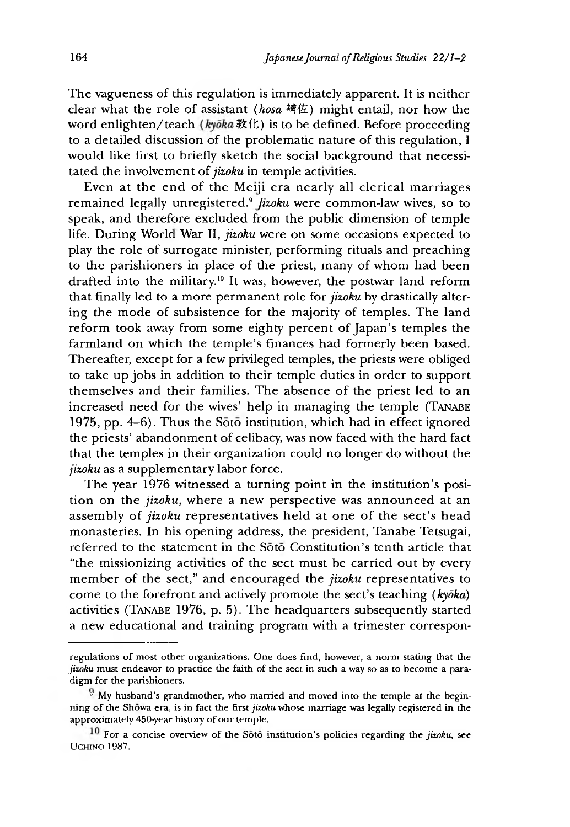The vagueness of this regulation is immediately apparent. It is neither clear what the role of assistant *(hosa* 補佐〉might entail, nor how the word enlighten/teach ( $ky\bar{o}ka$ 教化) is to be defined. Before proceeding to a detailed discussion of the problematic nature of this regulation, I would like first to briefly sketch the social background that necessitated the involvement of *jizoku* in temple activities.

Even at the end of the Meiji era nearly all clerical marriages remained legally unregistered.9 *Jizoku* were common-law wives, so to speak, and therefore excluded from the public dimension of temple life. During World War II, *jizoku* were on some occasions expected to play the role of surrogate minister, performing rituals and preaching to the parishioners in place of the priest, many of whom had been drafted into the military.<sup>10</sup> It was, however, the postwar land reform that finally led to a more permanent role for *jizoku* by drastically altering the mode of subsistence for the majority of temples. The land reform took away from some eighty percent of Japan's temples the farmland on which the temple's finances had formerly been based. Thereafter, except for a few privileged temples, the priests were obliged to take up jobs in addition to their temple duties in order to support themselves and their families. The absence of the priest led to an increased need for the wives' help in managing the temple (TANABE 1975, pp. 4-6). Thus the Soto institution, which had in effect ignored the priests' abandonment of celibacy, was now faced with the hard fact that the temples in their organization could no longer do without the *jizoku* as a supplementary labor force.

The year 1976 witnessed a turning point in the institution's position on the *jizoku,* where a new perspective was announced at an assembly of *jizoku* representatives held at one of the sect's head monasteries. In his opening address, the president, Tanabe Tetsugai, referred to the statement in the Soto Constitution's tenth article that "the missionizing activities of the sect must be carried out by every member of the sect," and encouraged the *jizoku* representatives to come to the forefront and actively promote the sect's teaching *(kydka)* activities (Tanabe 1976, p. 5). The headquarters subsequently started a new educational and training program with a trimester correspon-

regulations of most other organizations. One does find, however, a norm stating that the *jizoku* must endeavor to practice the faith of the sect in such a way so as to become a paradigm for the parishioners.

 $9$  My husband's grandmother, who married and moved into the temple at the beginning of the Showa era, is in fact the first *jizoku* whose marriage was legally registered in the approximately 450-year history of our temple.

For a concise overview of the Soto institution's policies regarding the *jizoku,* see UCHINO 1987.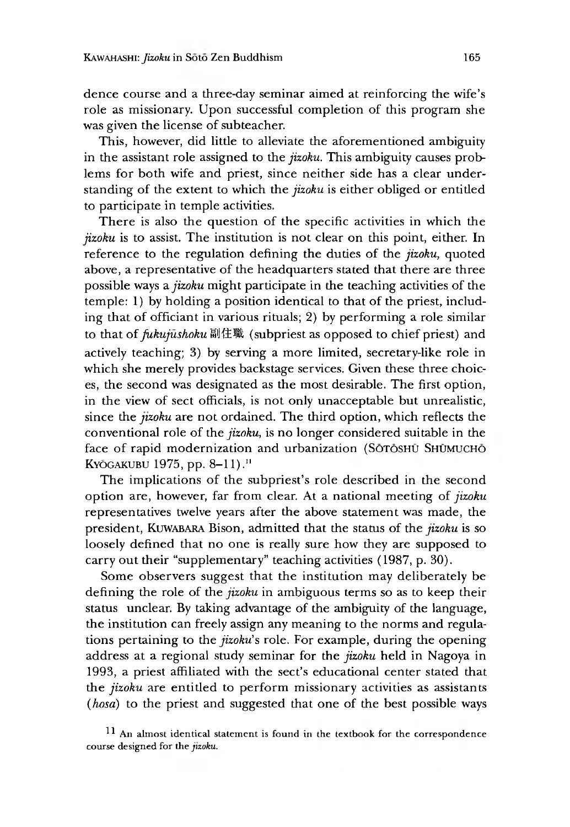dence course and a three-day seminar aimed at reinforcing the wife's role as missionary. Upon successful completion of this program she was given the license of subteacher.

This, however, did little to alleviate the aforementioned ambiguity in the assistant role assigned to the *jizoku*. This ambiguity causes problems for both wife and priest, since neither side has a clear understanding of the extent to which the *jizoku* is either obliged or entitled to participate in temple activities.

There is also the question of the specific activities in which the *jizoku* is to assist. The institution is not clear on this point, either. In reference to the regulation defining the duties of the *jizoku*, quoted above, a representative of the headquarters stated that there are three possible ways a *jizoku* might participate in the teaching activities of the temple: 1) by holding a position identical to that of the priest, including that of officiant in various rituals; 2) by performing a role similar to that of *fukujushoku* 副住職 (subpriest as opposed to chief priest) and actively teaching; 3) by serving a more limited, secretary-like role in which she merely provides backstage services. Given these three choices, the second was designated as the most desirable. The first option, in the view of sect officials, is not only unacceptable but unrealistic, since the *jizoku* are not ordained. The third option, which reflects the conventional role of the *jizoku,* is no longer considered suitable in the face of rapid modernization and urbanization (SOTOSHU SHUMUCHO KYOGAKUBU 1975, pp. 8-11).<sup>11</sup>

The implications of the subpriest's role described in the second option are however, far from clear. At a national meeting of *jizoku* representatives twelve years after the above statement was made, the president, Kuwabara Bison, admitted that the status of the *jizoku* is so loosely defined that no one is really sure how they are supposed to carry out their "supplementary" teaching activities (1987, p. 30).

Some observers suggest that the institution may deliberately be defining the role of the *jizoku* in ambiguous terms so as to keep their status unclear. By taking advantage of the ambiguity of the language, the institution can freely assign any meaning to the norms and regulations pertaining to the *jizoku*'s role. For example, during the opening address at a regional study seminar for the *jizoku* held in Nagoya in 1993, a priest affiliated with the sect's educational center stated that the *jizoku* are entitled to perform missionary activities as assistants *{hosa)* to the priest and suggested that one of the best possible ways

<sup>11</sup> Ah almost identical statement is found in the textbook for the correspondence course designed for the *jizoku.*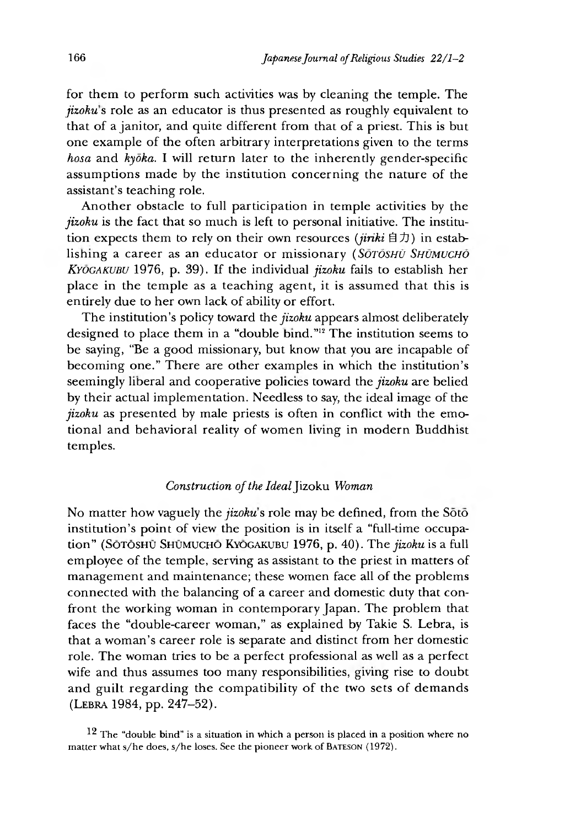for them to perform such activities was by cleaning the temple. The *jizoku*'s role as an educator is thus presented as roughly equivalent to that of a janitor, and quite different from that of a priest. This is but one example of the often arbitrary interpretations given to the terms *hosa* and *kydka,* I will return later to the inherently gender-specific assumptions made by the institution concerning the nature of the assistant's teaching role.

Another obstacle to full participation in temple activities by the *jizoku* is the fact that so much is left to personal initiative. The institution expects them to rely on their own resources *{jiriki* 自力〉in establishing a career as an educator or missionary ( *Sotoshu Shumucho KYŌGAKUBU* 1976, p. 39). If the individual *jizoku* fails to establish her place in the temple as a teaching agent, it is assumed that this is entirely due to her own lack of ability or effort.

The institution's policy toward the *jizoku* appears almost deliberately designed to place them in a "double bind."12 The institution seems to be saying, "Be a good missionary, but know that you are incapable of becoming one." There are other examples in which the institution's seemingly liberal and cooperative policies toward the *jizoku* are belied by their actual implementation. Needless to say, the ideal image of the *jizoku* as presented by male priests is often in conflict with the emotional and behavioral reality of women living in modern Buddhist temples.

#### *Construction of the Ideal Jizoku Woman*

No matter how vaguely the *jizoku's* role may be defined, from the Soto institution's point of view the position is in itself a "full-time occupation" (SOTOSHU SHUMUCHO KYOGAKUBU 1976, p. 40). The *jizoku* is a full employee of the temple, serving as assistant to the priest in matters of management and maintenance; these women face all of the problems connected with the balancing of a career and domestic duty that confront the working woman in contemporary Japan. The problem that faces the "double-career woman," as explained by Takie S. Lebra, is that a woman's career role is separate and distinct from her domestic role. The woman tries to be a perfect professional as well as a perfect wife and thus assumes too many responsibilities, giving rise to doubt and guilt regarding the compatibility of the two sets of demands (LEBRA 1984, pp. 247-52).

<sup>&</sup>lt;sup>12</sup> The "double bind" is a situation in which a person is placed in a position where no matter what s/he does, s/he loses. See the pioneer work of BATESON (1972).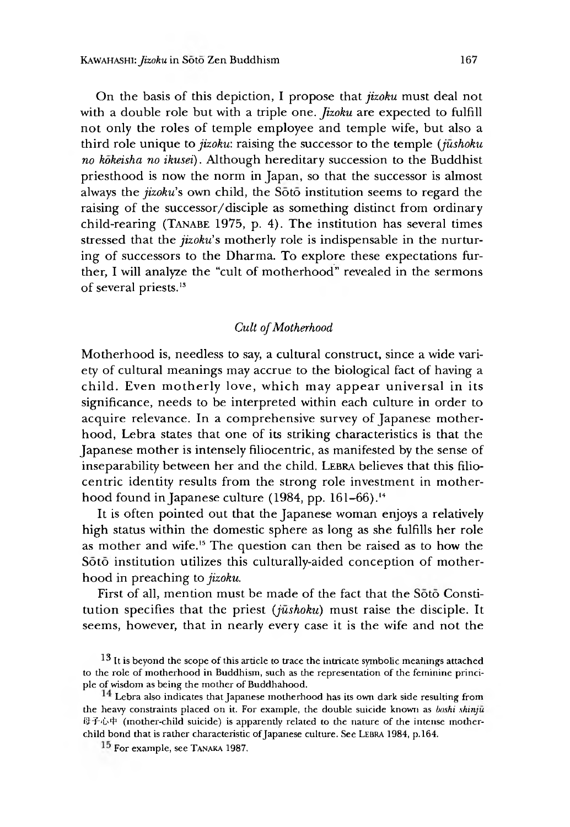On the basis of this depiction, I propose that *jizoku* must deal not with a double role but with a triple one. *Jizoku* are expected to fulfill not only the roles of temple employee and temple wife, but also a third role unique to *jizoku:* raising the successor to the temple *{jushoku no kokeisha no ikusei*). Although hereditary succession to the Buddhist priesthood is now the norm in Japan, so that the successor is almost always the *jizoku's* own child, the Soto institution seems to regard the raising of the successor/disciple as something distinct from ordinary child-rearing (Tanabe 1975, p. 4). The institution has several times stressed that the *jizoku*'s motherly role is indispensable in the nurturing of successors to the Dharma. To explore these expectations further, I will analyze the "cult of motherhood" revealed in the sermons of several priests.13

#### *Cult of Motherhood*

Motherhood is, needless to say, a cultural construct, since a wide variety of cultural meanings may accrue to the biological fact of having a child. Even motherly love, which may appear universal in its significance, needs to be interpreted within each culture in order to acquire relevance. In a comprehensive survey of Japanese motherhood, Lebra states that one of its striking characteristics is that the Japanese mother is intensely filiocentric, as manifested by the sense of inseparability between her and the child. Lebra believes that this filiocentric identity results from the strong role investment in motherhood found in Japanese culture (1984, pp. 161-66).<sup>14</sup>

It is often pointed out that the Japanese woman enjoys a relatively high status within the domestic sphere as long as she fulfills her role as mother and wife.15 The question can then be raised as to how the Soto institution utilizes this culturally-aided conception of motherhood in preaching to *jizoku.*

First of all, mention must be made of the fact that the Soto Constitution specifies that the priest *{jushoku)* must raise the disciple. It seems, however, that in nearly every case it is the wife and not the

<sup>&</sup>lt;sup>13</sup> It is beyond the scope of this article to trace the intricate symbolic meanings attached to the role of motherhood in Buddhism, such as the representation of the feminine principle of wisdom as being the mother of Buddhahood.

<sup>&</sup>lt;sup>14</sup> Lebra also indicates that Japanese motherhood has its own dark side resulting from the heavy constraints placed on it. For example, the double suicide known as *boshi shinju* 母子心中(inother-child suicide) is apparently related to the nature of the intense motherchild bond that is rather characteristic of Japanese culture. See LEBRA 1984, p.164.

<sup>15</sup> For example, see TANAKA 1987.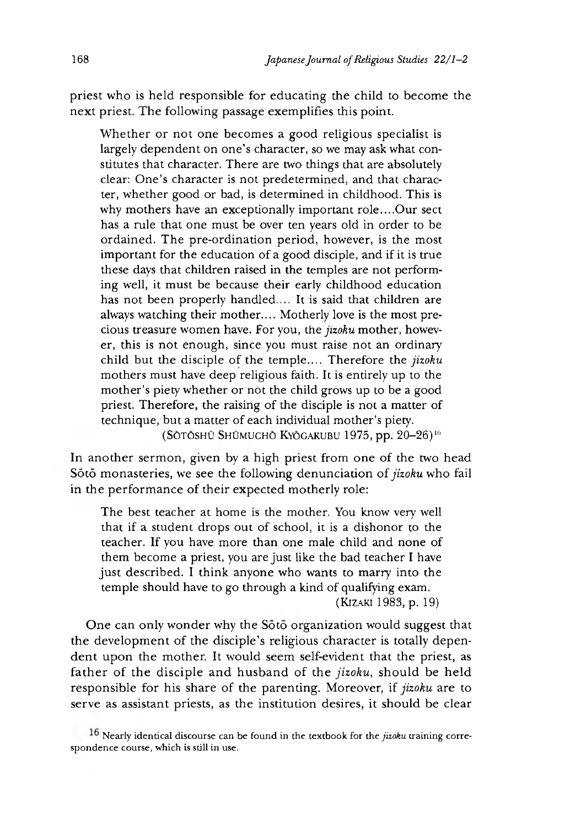priest who is held responsible for educating the child to become the next priest. The following passage exemplifies this point.

Whether or not one becomes a good religious specialist is largely dependent on one's character, so we may ask what constitutes that character. There are two things that are absolutely clear: One's character is not predetermined, and that character, whether good or bad, is determined in childhood. This is why mothers have an exceptionally important role....Our sect has a rule that one must be over ten years old in order to be ordained. The pre-ordination period, however, is the most important for the education of a good disciple, and if it is true these days that children raised in the temples are not performing well, it must be because their early childhood education has not been properly handled.... It is said that children are always watching their mother.... Motherly love is the most precious treasure women have. For you, the *jizoku* mother, however, this is not enough, since you must raise not an ordinary child but the disciple of the temple…. Therefore the *jizoku* mothers must have deep religious faith. It is entirely up to the mother's piety whether or not the child grows up to be a good priest. Therefore, the raising of the disciple is not a matter of technique, but a matter of each individual mother's piety. (SOTOSHŪ SHŪMUCHO KYŌGAKUBU 1975, pp. 20-26)<sup>16</sup>

In another sermon, given by a high priest from one of the two head Soto monasteries, we see the following denunciation of *jizoku* who fail in the performance of their expected motherly role:

The best teacher at home is the mother, You know very well that if a student drops out of school, it is a dishonor to the teacher. If you have more than one male child and none of them become a priest, you are just like the bad teacher I have just described. I think anyone who wants to marry into the temple should have to go through a kind of qualifying exam,

(KIZAKI 1983, p. 19)

One can only wonder why the Soto organization would suggest that the development of the disciple's religious character is totally dependent upon the mother. It would seem self-evident that the priest, as father of the disciple and husband of the *jizoku,* should be held responsible for his share of the parenting. Moreover, if *jizoku* are to serve as assistant priests, as the institution desires, it should be clear

Nearly identical discourse can be found in the textbook for the *jizoku* training correspondence course, which is still in use.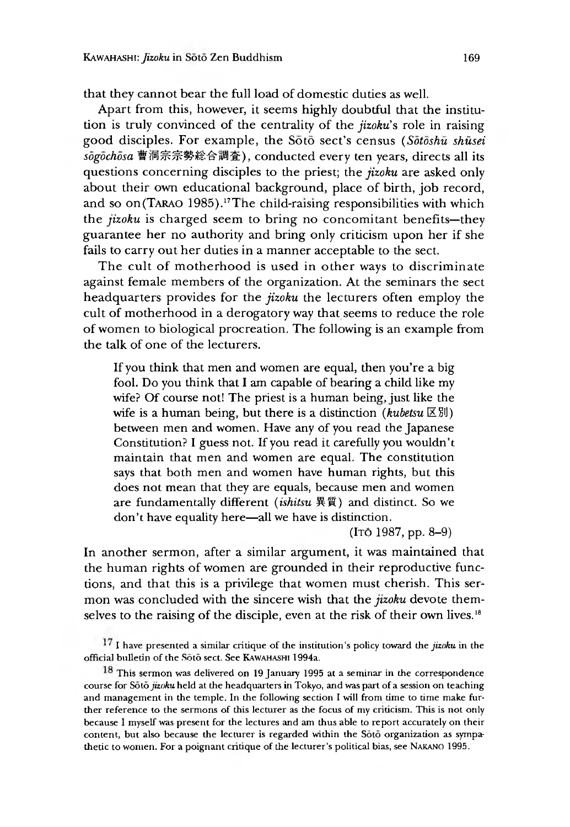that they cannot bear the full load of domestic duties as well.

Apart from this, however, it seems highly doubtful that the institution is truly convinced of the centrality of the *jizoku's* role in raising good disciples. For example, the Soto sect's census *(Sotoshu shusei sogochosa* 曹洞宗宗勢総合調査),conducted every ten years, directs all its questions concerning disciples to the priest; the *jizoku* are asked only about their own educational background, place of birth, job record, and so on(TARAO 1985).<sup>17</sup>The child-raising responsibilities with which the *jizoku* is charged seem to bring no concomitant benefits—they guarantee her no authority and bring only criticism upon her if she fails to carry out her duties in a manner acceptable to the sect.

The cult of motherhood is used in other ways to discriminate against female members of the organization. At the seminars the sect headquarters provides for the *jizoku* the lecturers often employ the cult of motherhood in a derogatory way that seems to reduce the role of women to biological procreation. The following is an example from the talk of one of the lecturers.

If you think that men and women are equal, then you're a big fool. Do you think that I am capable of bearing a child like my wife? Of course not! The priest is a human being, just like the wife is a human being, but there is a distinction *(kubetsu*  $\boxtimes$ 別) between men and women. Have any of you read the Japanese Constitution? I guess not. If you read it carefully you wouldn't maintain that men and women are equal. The constitution says that both men and women have human rights, but this does not mean that they are equals, because men and women are fundamentally different *(ishitsu* 異質)and distinct. So we don't have equality here—all we have is distinction.

 $($ ITO 1987, pp. 8-9 $)$ 

In another sermon, after a similar argument, it was maintained that the human rights of women are grounded in their reproductive functions, and that this is a privilege that women must cherish. This sermon was concluded with the sincere wish that the *jizoku* devote themselves to the raising of the disciple, even at the risk of their own lives.<sup>18</sup>

 $17$  I have presented a similar critique of the institution's policy toward the *jizoku* in the official bulletin of the Soto sect. See KAWAHASHI 1994a.

This sermon was delivered on 19 January 1995 at a seminar in the correspondence course for *Soto jizoku* held at the headquarters in Tokyo, and was part of a session on teaching and management in the temple. In the following section I will from time to time make further reference to the sermons of this lecturer as the focus of my criticism. This is not only because I myself was present for the lectures and am thus able to report accurately on their content, but also because the lecturer is regarded within the Soto organization as sympathetic to women. For a poignant critique of the lecturer's political bias, see NAKANO 1995.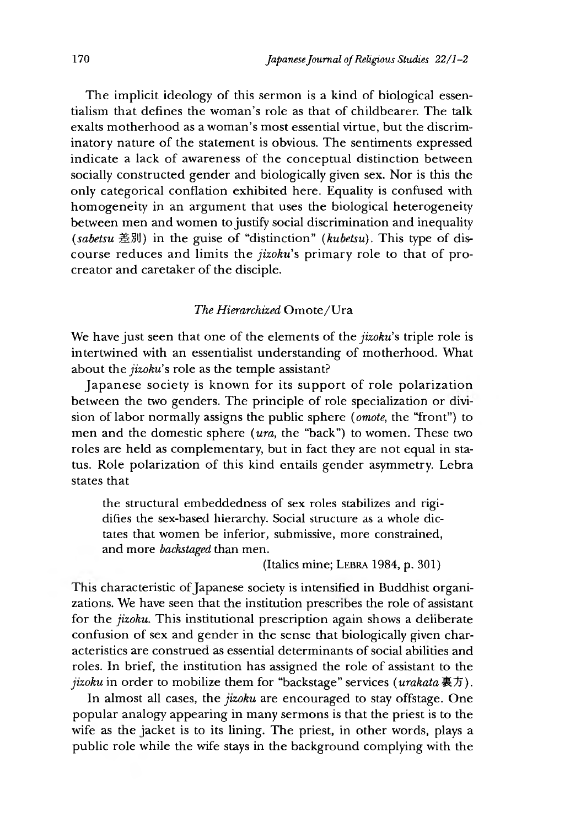The implicit ideology of this sermon is a kind of biological essentialism that defines the woman's role as that of childbearer. The talk exalts motherhood as a woman's most essential virtue, but the discriminatory nature of the statement is obvious. The sentiments expressed indicate a lack of awareness of the conceptual distinction between socially constructed gender and biologically given sex. Nor is this the only categorical conflation exhibited here. Equality is confused with homogeneity in an argument that uses the biological heterogeneity between men and women to justify social discrimination and inequality *(sabetsu* 差別) in the guise of "distinction" *{kubetsu).* This type of discourse reduces and limits the *jizoku*'s primary role to that of procreator and caretaker of the disciple.

#### *The Hierarchized* Omote/Ura

We have just seen that one of the elements of the *jizoku*'s triple role is intertwined with an essentialist understanding of motherhood. What about the *jizoku's* role as the temple assistant?

Japanese society is known for its support of role polarization between the two genders. The principle of role specialization or division of labor normally assigns the public sphere (*omote*, the "front") to men and the domestic sphere *(ura, the "back")* to women. These two roles are held as complementary, but in fact they are not equal in status. Role polarization of this kind entails gender asymmetry. Lebra states that

the structural embeddedness of sex roles stabilizes and rigidifies the sex-based hierarchy. Social structure as a whole dictates that women be inferior, submissive, more constrained, and more *backstaged* than men.

(Italics mine; LEBRA 1984, p. 301)

This characteristic of Japanese society is intensified in Buddhist organizations. We have seen that the institution prescribes the role of assistant for the *jizoku.* This institutional prescription again shows a deliberate confusion of sex and gender in the sense that biologically given characteristics are construed as essential determinants of social abilities and roles. In brief, the institution has assigned the role of assistant to the *jizoku* in order to mobilize them for "backstage" services *(urakata裏方).*

In almost all cases, the *jizoku* are encouraged to stay offstage. One popular analogy appearing in many sermons is that the priest is to the wife as the jacket is to its lining. The priest, in other words, plays a public role while the wife stays in the background complying with the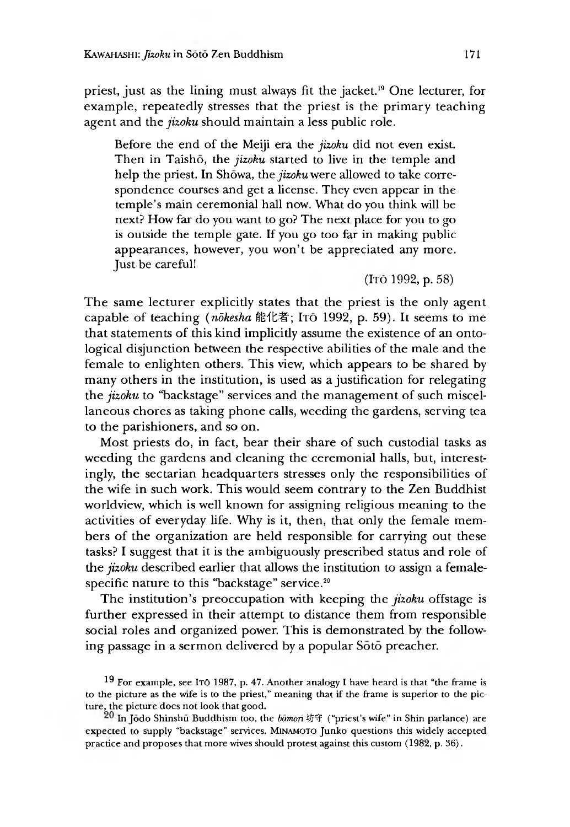priest, just as the lining must always fit the jacket.19 One lecturer, for example, repeatedly stresses that the priest is the primary teaching agent and the *jizoku* should maintain a less public role.

Before the end of the Meiji era the *jizoku* did not even exist. Then in Taisho, the *jizoku* started to live in the temple and help the priest. In Showa, the *jizoku* were allowed to take correspondence courses and get a license. They even appear in the temple's main ceremonial hall now. What do you think will be next? How far do you want to go? The next place for you to go is outside the temple gate. If you go too far in making public appearances, however, you won't be appreciated any more. Just be careful!

^ (Ito 1992, p. 58)

The same lecturer explicitly states that the priest is the only agent capable of teaching *(nokesha* 能化者; Ito 1992, p. 59). It seems to me that statements of this kind implicitly assume the existence of an ontological disjunction between the respective abilities of the male and the female to enlighten others. This view, which appears to be shared by many others in the institution, is used as a justification for relegating the *jizoku* to "backstage" services and the management of such miscellaneous chores as taking phone calls, weeding the gardens, serving tea to the parishioners, and so on.

Most priests do, in fact, bear their share of such custodial tasks as weeding the gardens and cleaning the ceremonial halls, but, interestingly, the sectarian headquarters stresses only the responsibilities of the wife in such work. This would seem contrary to the Zen Buddhist worldview, which is well known for assigning religious meaning to the activities of everyday life. Why is it, then, that only the female members of the organization are held responsible for carrying out these tasks? I suggest that it is the ambiguously prescribed status and role of the *jizoku* described earlier that allows the institution to assign a femalespecific nature to this "backstage" service.<sup>20</sup>

The institution's preoccupation with keeping the *jizoku* offstage is further expressed in their attempt to distance them from responsible social roles and organized power. This is demonstrated by the following passage in a sermon delivered by a popular Soto preacher.

 $19$  For example, see Ito 1987, p. 47. Another analogy I have heard is that "the frame is to the picture as the wife is to the priest," meaning that if the frame is superior to the picture, the picture does not look that good.

 $^{20}$  In Jōdo Shinshū Buddhism too, the *bōmori* 坊守 ("priest's wife" in Shin parlance) are expected to supply "backstage" services. MINAMOTO Junko questions this widely accepted practice and proposes that more wives should protest against this custom (1982, p. 36).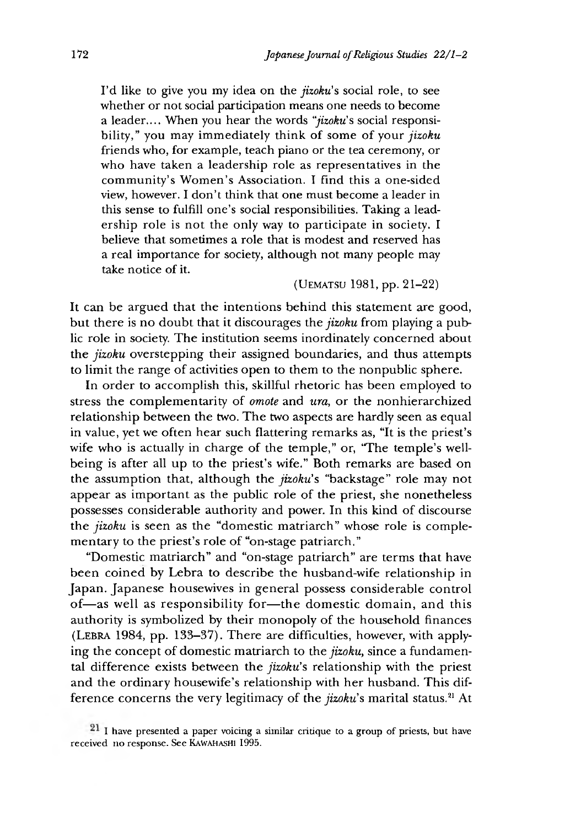I'd like to give you my idea on the *jizoku*'s social role, to see whether or not social participation means one needs to become a leader.... When you hear the words "jizoku's social responsibility," you may immediately think of some of your *jizoku* friends who, for example, teach piano or the tea ceremony, or who have taken a leadership role as representatives in the community's Women's Association. I find this a one-sided view, however. I don't think that one must become a leader in this sense to fulfill one's social responsibilities. Taking a leadership role is not the only way to participate in society. I believe that sometimes a role that is modest and reserved has a real importance for society, although not many people may take notice of it.

(UEMATSU 1981, pp. 21-22)

It can be argued that the intentions behind this statement are good, but there is no doubt that it discourages the *jizoku* from playing a public role in society. The institution seems inordinately concerned about the *jizoku* overstepping their assigned boundaries, and thus attempts to limit the range of activities open to them to the nonpublic sphere.

In order to accomplish this, skillful rhetoric has been employed to stress the complementarity of *omote* and *ura,* or the nonhierarchized relationship between the two. The two aspects are hardly seen as equal in value, yet we often hear such flattering remarks as, "It is the priest's wife who is actually in charge of the temple," or, "The temple's wellbeing is after all up to the priest's wife." Both remarks are based on the assumption that, although the *jizoku's* "backstage" role may not appear as important as the public role of the priest, she nonetheless possesses considerable authority and power. In this kind of discourse the *jizoku* is seen as the "domestic matriarch" whose role is complementary to the priest's role of "on-stage patriarch."

"Domestic matriarch" and "on-stage patriarch" are terms that have been coined by Lebra to describe the husband-wife relationship in Japan, Japanese housewives in general possess considerable control of—as well as responsibility for—the domestic domain, and this authority is symbolized by their monopoly of the household finances (LEBRA 1984, pp. 133-37). There are difficulties, however, with applying the concept of domestic matriarch to the *jizoku*, since a fundamental difference exists between the *jizoku's* relationship with the priest and the ordinary housewife's relationship with her husband. This difference concerns the very legitimacy of the *jizoku's* marital status.<sup>21</sup> At

 $21$  I have presented a paper voicing a similar critique to a group of priests, but have received no response. See KAWAHASHI 1995.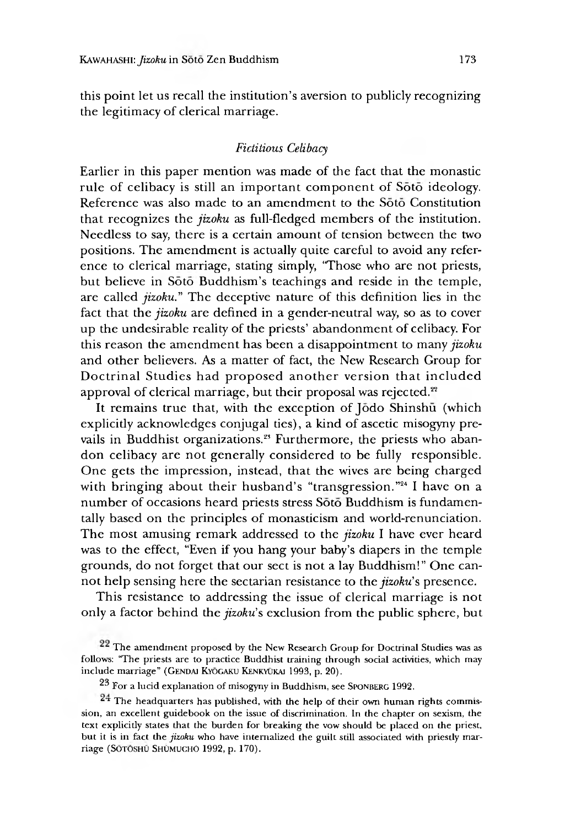this point let us recall the institution's aversion to publicly recognizing the legitimacy of clerical marriage.

#### *Fictitious Celibacy*

Earlier in this paper mention was made of the fact that the monastic rule of celibacy is still an important component of Soto ideology. Reference was also made to an amendment to the Soto Constitution that recognizes the *jizoku* as full-fledged members of the institution. Needless to say, there is a certain amount of tension between the two positions. The amendment is actually quite careful to avoid any reference to clerical marriage, stating simply, "Those who are not priests, but believe in Soto Buddhism's teachings and reside in the temple, are called *jizoku,"* The deceptive nature of this definition lies in the fact that the *jizoku* are defined in a gender-neutral way, so as to cover up the undesirable reality of the priests' abandonment of celibacy. For this reason the amendment has been a disappointment to many *jizoku* and other believers. As a matter of fact, the New Research Group for Doctrinal Studies had proposed another version that included approval of clerical marriage, but their proposal was rejected.<sup>22</sup>

It remains true that, with the exception of Jodo Shinshu (which explicitly acknowledges conjugal ties), a kind of ascetic misogyny prevails in Buddhist organizations.<sup>23</sup> Furthermore, the priests who abandon celibacy are not generally considered to be fully responsible. One gets the impression, instead, that the wives are being charged with bringing about their husband's "transgression."24 I have on a number of occasions heard priests stress Soto Buddhism is fundamentally based on the principles of monasticism and world-renunciation. The most amusing remark addressed to the *jizoku* I have ever heard was to the effect, "Even if you hang your baby's diapers in the temple grounds, do not forget that our sect is not a lay Buddhism!" One cannot help sensing here the sectarian resistance to *the jizoku's* presence.

This resistance to addressing the issue of clerical marriage is not only a factor behind the *jizoku*'s exclusion from the public sphere, but

<sup>23</sup> For a lucid explanation of misogyny in Buddhism, see SPONBERG 1992.

 $24$  The headquarters has published, with the help of their own human rights commission, an excellent guidebook on the issue of discrimination. In the chapter on sexism, the text explicitly states that the burden for breaking the vow should be placed on the priest, but it is in fact the *jizoku* who have internalized the guilt still associated with priestly marriage (SOTOSHŪ SHŪMUCHO 1992, p. 170).

<sup>&</sup>lt;sup>22</sup> The amendment proposed by the New Research Group for Doctrinal Studies was as follows: "The priests are to practice Buddhist training through social activities, which may include marriage" (GENDAI KYŌGAKU KENKYŪKAI 1993, p. 20).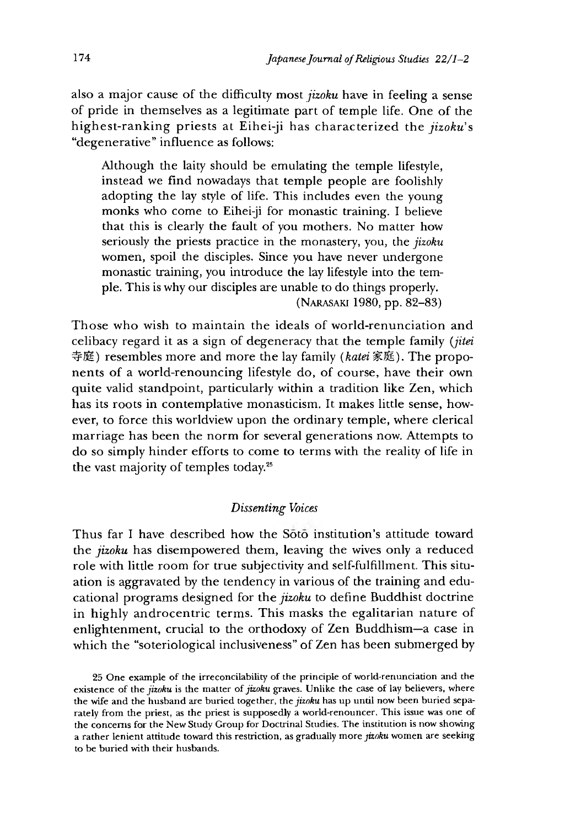also a major cause of the difficulty most *jizoku* have in feeling a sense of pride in themselves as a legitimate part of temple life. One of the highest-ranking priests at Eihei-ji has characterized the *jizoku's* "degenerative" influence as follows:

Although the laity should be emulating the temple lifestyle, instead we find nowadays that temple people are foolishly adopting the lay style of life. This includes even the young monks who come to Eihei-ji for monastic training. I believe that this is clearly the fault of you mothers. No matter how seriously the priests practice in the monastery, you, the *jizoku* women, spoil the disciples. Since you have never undergone monastic training, you introduce the lay lifestyle into the temple. This is why our disciples are unable to do things properly. (NARASAKI 1980, pp. 82-83)

Those who wish to maintain the ideals of world-renunciation and celibacy regard it as a sign of degeneracy that the temple family *{jitei* 寺庭) resembles more and more the lay family *(katei* 家庭). The proponents of a world-renouncing lifestyle do, of course, have their own quite valid standpoint, particularly within a tradition like Zen, which has its roots in contemplative monasticism. It makes little sense, however, to force this worldview upon the ordinary temple, where clerical marriage has been the norm for several generations now. Attempts to do so simply hinder efforts to come to terms with the reality of life in the vast majority of temples today.25

#### *Dissenting Voices*

Thus far I have described how the Soto institution's attitude toward the *jizoku* has disempowered them, leaving the wives only a reduced role with little room for true subjectivity and self-fulfillment. This situation is aggravated by the tendency in various of the training and educational programs designed for the *jizoku* to define Buddhist doctrine in highly androcentric terms. This masks the egalitarian nature of enlightenment, crucial to the orthodoxy of Zen Buddhism—a case in which the "soteriological inclusiveness" of Zen has been submerged by

<sup>25</sup> One example of the irreconcilability of the principle of world-renunciation and the existence of the *jizoku* is the matter of *jizoku* graves. Unlike the case of lay believers, where the wife and the husband are buried together, the *jizoku* has up until now been buried separately from the priest, as the priest is supposedly a world-renouncer. This issue was one of the concerns for the New Study Group for Doctrinal Studies. The institution is now showing a rather lenient attitude toward this restriction, as gradually more *jizoku* women are seeking to be buried with their husbands.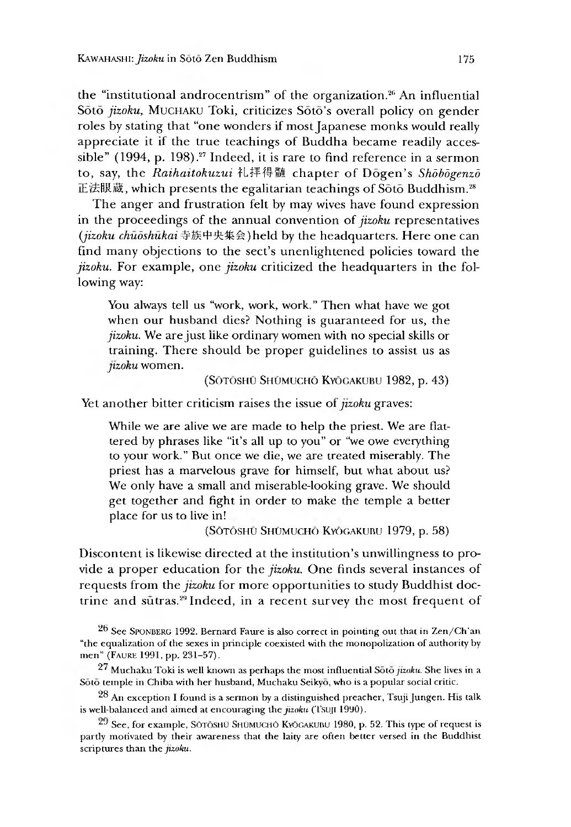the "institutional androcentrism" of the organization. $26$  An influential Sōtō *jizoku*, MUCHAKU Toki, criticizes Sōtō's overall policy on gender roles by stating that "one wonders if most Japanese monks would really appreciate it if the true teachings of Buddha became readily accessible" (1994, p. 198).<sup>27</sup> Indeed, it is rare to find reference in a sermon to, say, the *Raihaitokuzui* 礼拝得髄 chapter of Dogen's *Shobogenzo* 正法眼蔵,which presents the egalitarian teachings of Soto Buddhism.28

The anger and frustration felt by may wives have found expression in the proceedings of the annual convention of *jizoku* representatives *(jizoku chudshukai* 寺族中央集会〉held by the headquarters. Here one can find many objections to the sect's unenlightened policies toward the *jizoku.* For example, one *jizoku* criticized the headquarters in the following way:

You always tell us "work, work, work." Then what have we got when our husband dies? Nothing is guaranteed for us, the *jizoku.* We are just like ordinary women with no special skills or training. There should be proper guidelines to assist us as *jizoku* women.

#### (SOTOSHŪ SHŪMUCHŌ KYŌGAKUBU 1982, p. 43)

Yet another bitter criticism raises the issue of *jizoku* graves:

While we are alive we are made to help the priest. We are flattered by phrases like "it's all up to you" or "we owe everything to your work." But once we die, we are treated miserably. The priest has a marvelous grave for himself, but what about us? We only have a small and miserable-looking grave. We should get together and fight in order to make the temple a better place for us to live in!

(SOTOSHŪ SHŪMUCHO KYOGAKUBU 1979, p. 58)

Discontent is likewise directed at the institution's unwillingness to provide a proper education for the *jizoku.* One finds several instances of requests from the *jizoku* for more opportunities to study Buddhist doctrine and sutras.29 Indeed, in a recent survey the most frequent of

 $28$  An exception I found is a sermon by a distinguished preacher, Tsuji Jungen. His talk is well-balanced and aimed at encouraging ihe *jizoku* (Tsuji 19y0).

<sup>29</sup> See, for example, SOTOSHU SHUMUCHO K vOGAKUBU 1980, p. 52. This type of request is partly motivated by their awareness that the laity are often better versed in the Buddhist scriptures than the *jizoku*.

<sup>&</sup>lt;sup>26</sup> See Sponberg 1992. Bernard Faure is also correct in pointing out that in Zen/Ch'an "the equalization of the sexes in principle coexisted with the monopolization of authority by men" (FAURE 1991, pp. 231-57).

*H* Muchaku Toki is well known as perhaps the most influential *Soto jizoku.* She lives in a Sōtō temple in Chiba with her husband, Muchaku Seikyō, who is a popular social critic.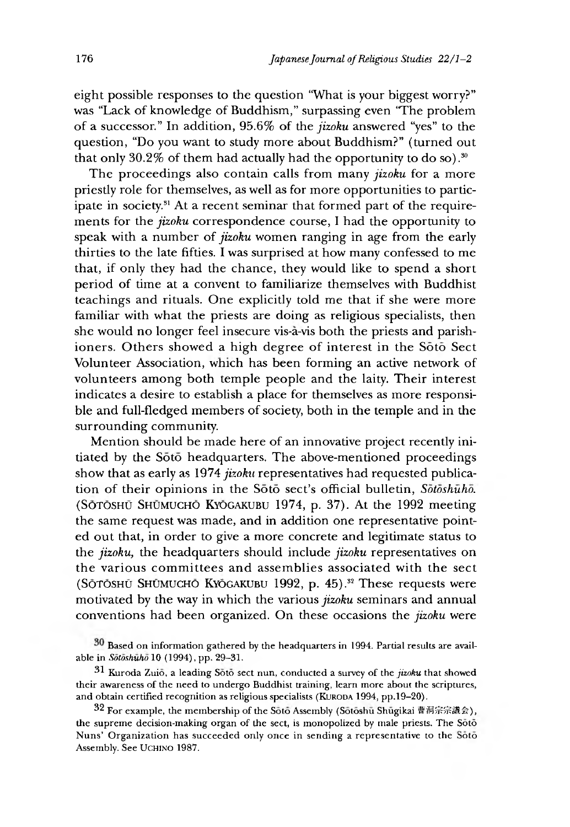eight possible responses to the question "What is your biggest worry?" was "Lack of knowledge of Buddhism," surpassing even 'The problem of a successor." In addition, 95.6% of the *jizoku* answered "yes" to the question, "Do you want to study more about Buddhism?" (turned out that only 30.2% of them had actually had the opportunity to do so).<sup>30</sup>

The proceedings also contain calls from many *jizoku* for a more priestly role for themselves, as well as for more opportunities to participate in society.<sup>31</sup> At a recent seminar that formed part of the requirements for the *jizoku* correspondence course, I had the opportunity to speak with a number of *jizoku* women ranging in age from the early thirties to the late fifties. I was surprised at how many confessed to me that, if only they had the chance, they would like to spend a short period of time at a convent to familiarize themselves with Buddhist teachings and rituals. One explicitly told me that if she were more familiar with what the priests are doing as religious specialists, then she would no longer feel insecure vis-a-vis both the priests and parishioners. Others showed a high degree of interest in the Soto Sect Volunteer Association, which has been forming an active network of volunteers among both temple people and the laity. Their interest indicates a desire to establish a place for themselves as more responsible and full-fledged members of society, both in the temple and in the surrounding community.

Mention should be made here of an innovative project recently initiated by the Soto headquarters. The above-mentioned proceedings show that as early as *1974 jizoku* representatives had requested publication of their opinions in the Soto sect's official bulletin, *Sotoshuho.* (Sotoshū Shūmucho KyoGAKUBU 1974, p. 37). At the 1992 meeting the same request was made, and in addition one representative pointed out that, in order to give a more concrete and legitimate status to the *jizoku*, the headquarters should include *jizoku* representatives on the various committees and assemblies associated with the sect (SOTOSHŪ SHŪMUCHO KYŌGAKUBU 1992, p. 45).<sup>32</sup> These requests were motivated by the way in which the various *jizoku* seminars and annual conventions had been organized. On these occasions the *jizoku* were

 $30$  Based on information gathered by the headquarters in 1994. Partial results are available in *Sotoshuho* 10 (1994), pp. 29-31.

 $31$  Kuroda Zuiō, a leading Sōtō sect nun, conducted a survey of the *jizoku* that showed their awareness of the need to undergo Buddhist training, learn more about the scriptures, and obtain certified recognition as religious specialists (KURODA 1994, pp.19-20).

 $32$  For example, the membership of the Soto Assembly (Sotoshu Shugikai 曹洞宗宗議会), the supreme decision-making organ of the sect, is monopolized by male priests. The Soto Nuns' Organization has succeeded only once in sending a representative to the Soto Assembly. See UCHINO 1987.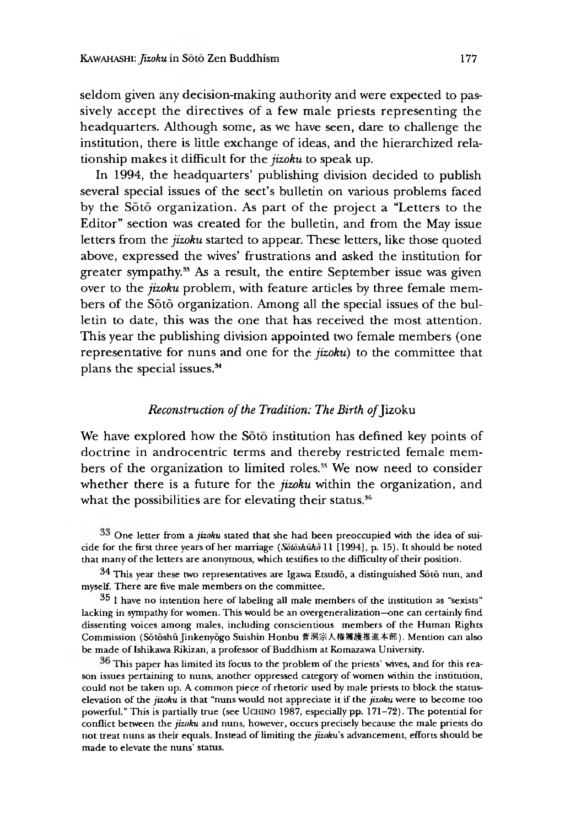seldom given any decision-making authority and were expected to passively accept the directives of a few male priests representing the headquarters. Although some, as we have seen, dare to challenge the institution, there is little exchange of ideas, and the hierarchized relationship makes it difficult for the *jizoku* to speak up.

In 1994, the headquarters' publishing division decided to publish several special issues of the sect's bulletin on various problems faced by the Soto organization. As part of the project a "Letters to the Editor" section was created for the bulletin, and from the May issue letters from the *jizoku* started to appear. These letters, like those quoted above, expressed the wives' frustrations and asked the institution for greater sympathy.33 As a result, the entire September issue was given over to the *jizoku* problem, with feature articles by three female members of the Soto organization. Among all the special issues of the bulletin to date, this was the one that has received the most attention. This year the publishing division appointed two female members (one representative for nuns and one for the *jizoku) to* the committee that plans the special issues.<sup>34</sup>

## *Reconstruction of the Tradition: The Birth of Jizoku*

We have explored how the Soto institution has defined key points of doctrine in androcentric terms and thereby restricted female members of the organization to limited roles.<sup>35</sup> We now need to consider whether there is a future for the *jizoku* within the organization, and what the possibilities are for elevating their status.<sup>36</sup>

<sup>33</sup> One letter from a *jizoku* stated that she had been preoccupied with the idea of suicide for the first three years of her marriage *{Sotoshuho* 11[1994] p. 15). It should be noted that many of the letters are anonymous, which testifies to the difficulty of their position.

34 This year these two representatives are Igawa Etsudō, a distinguished Sōtō nun, and myself. There are five male members on the committee.

 $35$  I have no intention here of labeling all male members of the institution as "sexists" lacking in sympathy for women. This would be an overgeneralization—one can certainly find dissenting voices among males, including conscientious members of the Human Rights Commission (Sotoshu Jinkenyogo Suishin Honbu 曹洞宗人権擁護推進本部). Mention can also be made of Ishikawa Rikizan, a professor of Buddhism at Komazawa University.

 $36$  This paper has limited its focus to the problem of the priests' wives, and for this reason issues pertaining to nuns, another oppressed category of women within the institution, could not be taken up. A common piece of rhetoric used by male priests to block the statuselevation of the *jizoku* is that "nuns would not appreciate it if the *jizoku* were to become too powerful." This is partially true (see UCHINO 1987, especially pp. 171–72). The potential for conflict between the *jizoku* and nuns, however, occurs precisely because the m ale priests do not treat nuns as their equals. Instead of limiting *thcjizoku's* advancement, efforts should be made to elevate the nuns' status.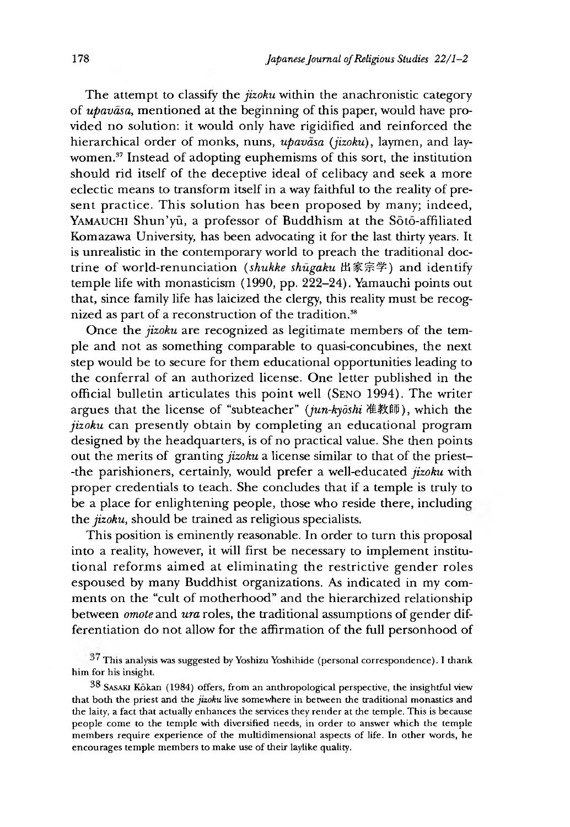The attempt to classify the *jizoku* within the anachronistic category of *upavasa,* mentioned at the beginning of this paper, would have provided no solution: it would only have rigidified and reinforced the hierarchical order of monks, nuns, *upavasa (jizoku)*, laymen, and laywomen.37 Instead of adopting euphemisms of this sort, the institution should rid itself of the deceptive ideal of celibacy and seek a more eclectic means to transform itself in a way faithful to the reality of present practice. This solution has been proposed by many; indeed, YAMAUCHI Shun'yū, a professor of Buddhism at the Sōtō-affiliated Komazawa University, has been advocating it for the last thirty years. It is unrealistic in the contemporary world to preach the traditional doctrine of world-renunciation *(shukke shugaku* 出家宗学)and identify temple life with monasticism (1990, pp.  $222-24$ ). Yamauchi points out that, since family lite has laicized the clergy, this reality must be recognized as part of a reconstruction of the tradition.<sup>38</sup>

Once the *jizoku* are recognized as legitimate members of the temple and not as something comparable to quasi-concubines, the next step would be to secure for them educational opportunities leading to the conferral of an authorized license. One letter published in the official bulletin articulates this point well (Seno 1994). The writer argues that the license of "subteacher" *{jun-kydshi* 准教師),which the *jizoku* can presently obtain by completing an educational program designed by the headquarters, is of no practical value. She then points out the merits of granting *jizoku* a license similar to that of the priest- -the parishioners, certainly, would prefer a well-educated *jizoku* with proper credentials to teach. She concludes that if a temple is truly to be a place for enlightening people, those who reside there, including the *jizoku*, should be trained as religious specialists.

This position is eminently reasonable. In order to turn this proposal into a reality, however, it will first be necessary to implement institutional reforms aimed at eliminating the restrictive gender roles espoused by many Buddhist organizations. As indicated in my comments on the "cult of motherhood" and the hierarchized relationship between *omote* and *ura* roles, the traditional assumptions of gender differentiation do not allow for the affirmation of the full personhood of

<sup>&</sup>lt;sup>37</sup> This analysis was suggested by Yoshizu Yoshihide (personal correspondence). I thank him for his insight.

 $38$  SASAKI Kōkan (1984) offers, from an anthropological perspective, the insightful view that both the priest and the *jizoku* live somewhere in between the traditional monastics and the laity, a fact that actually enhances the services they render at the temple. This is because people come to the temple with diversified needs, in order to answer which the temple members require experience of the multidimensional aspects of life. In other words, he encourages temple members to make use of their laylike quality.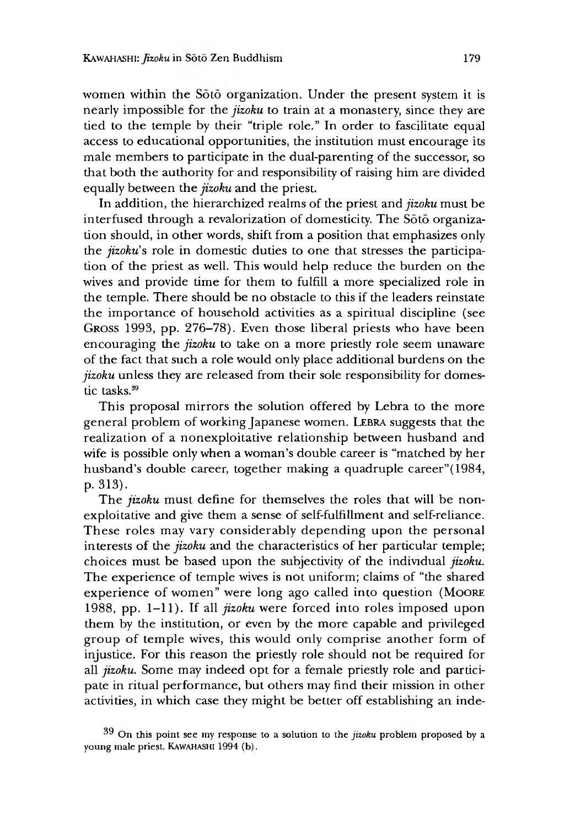women within the Soto organization. Under the present system it is nearly impossible for the *jizoku* to train at a monastery, since they are tied to the temple by their "triple role." In order to fascilitate equal access to educational opportunities, the institution must encourage its male members to participate in the dual-parenting of the successor, so that both the authority for and responsibility of raising him are divided equally between the *jizoku* and the priest.

In addition, the hierarchized realms of the priest and *jizoku* must be interfused through a revalorization of domesticity. The Soto organization should, in other words, shift from a position that emphasizes only the *jizoku*'s role in domestic duties to one that stresses the participation of the priest as well. This would help reduce the burden on the wives and provide time for them to fulfill a more specialized role in the temple. There should be no obstacle to this if the leaders reinstate the importance of household activities as a spiritual discipline (see GROSS 1993, pp. 276-78). Even those liberal priests who have been encouraging the *jizoku* to take on a more priestly role seem unaware of the fact that such a role would only place additional burdens on the *jizoku* unless they are released from their sole responsibility for domestic tasks.<sup>39</sup>

This proposal mirrors the solution offered by Lebra to the more general problem of working Japanese women. Lebra suggests that the realization of a nonexploitative relationship between husband and wife is possible only when a woman's double career is "matched by her husband's double career, together making a quadruple career" (1984, p. 313).

The *jizoku* must define for themselves the roles that will be nonexploitative and give them a sense of self-fulfillment and self-reliance. These roles may vary considerably depending upon the personal interests of the *jizoku* and the characteristics of her particular temple; choices must be based upon the suojectivity of the individual *jizoku.* The experience of temple wives is not uniform; claims of "the shared experience of women" were long ago called into question (Moore 1988, pp. 1-11). If all *jizoku* were forced into roles imposed upon them by the institution, or even by the more capable and privileged group of temple wives, this would only comprise another form of injustice. For this reason the priestly role should not be required for all *jizoku.* Some may indeed opt for a female priestly role and participate in ritual performance, but others may find their mission in other activities, in which case they might be better off establishing an inde-

On this point see my response to a solution to the *jizoku* problem proposed by a young male priest. KAWAHASHI 1994 (b).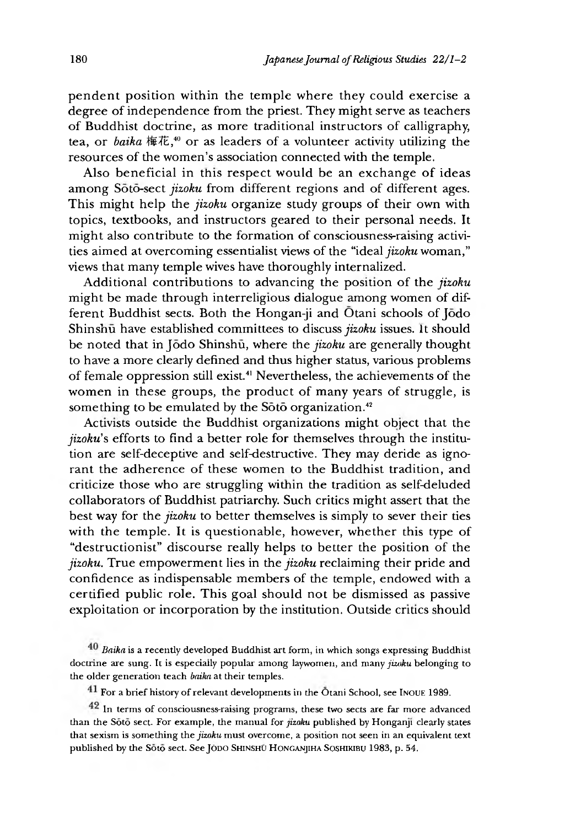pendent position within the temple where they could exercise a degree of independence from the priest. They might serve as teachers of Buddhist doctrine,as more traditional instructors of calligraphy, tea, or *baika* 梅花,<sup>40</sup> or as leaders of a volunteer activity utilizing the resources of the women's association connected with the temple.

Also beneficial in this respect would be an exchange of ideas among Soto-sect *jizoku* from different regions and of different ages. This might help the *jizoku* organize study groups of their own with topics, textbooks, and instructors geared to their personal needs. It might also contribute to the formation of consciousness-raising activities aimed at overcoming essentialist views of the "ideal *jizoku* woman," views that many temple wives have thoroughly internalized.

Additional contributions to advancing the position of the *jizoku* might be made through interreligious dialogue among women of different Buddhist sects. Both the Hongan-ji and Otani schools of Jodo Shinshu have established committees to discuss *jizoku* issues. It should be noted that in Jodo Shinshu, where the *jizoku* are generally thought to have a more clearly defined and thus higher status, various problems of female oppression still exist.41 Nevertheless, the achievements of the women in these groups, the product of many years of struggle, is something to be emulated by the Soto organization.<sup>42</sup>

Activists outside the Buddhist organizations might object that the *jizoku*'s efforts to find a better role for themselves through the institution are self-deceptive and self-destructive. They may deride as ignorant the adherence of these women to the Buddhist tradition, and criticize those who are struggling within the tradition as self-deluded collaborators of Buddhist patriarchy. Such critics might assert that the best way for the *jizoku* to better themselves is simply to sever their ties with the temple. It is questionable, however, whether this type of "destructionist" discourse really helps to better the position of the *jizoku.* True empowerment lies in the *jizoku* reclaiming their pride and confidence as indispensable members of the temple, endowed with a certified public role. This goal should not be dismissed as passive exploitation or incorporation by the institution. Outside critics should

 $^{41}$  For a brief history of relevant developments in the Otani School, see INOUE 1989.

 $42$  In terms of consciousness-raising programs, these two sects are far more advanced than the Soto sect. For example, the manual for *jizoku* published by Honganji clearly states that sexism is something the *jizoku* must overcome, a position not seen in an equivalent text published by the Sōtō sect. See JODO SHINSHŪ HONGAN|IHA SOSHIKIBU 1983, p. 54.

*Baika* is a recently developed Buddhist art form, in which songs expressing Buddhist doctrine are sung. It is especially popular among laywomen, and many *jizoku* belonging to the older generation teach *baika* at their temples.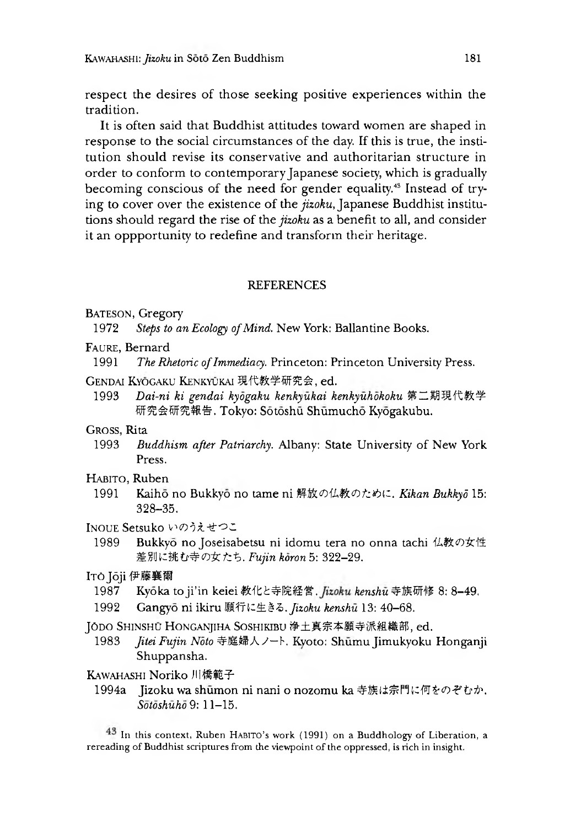respect the desires of those seeking positive experiences within the tradition.

It is often said that Buddhist attitudes toward women are shaped in response to the social circumstances of the day. If this is true, the institution should revise its conservative and authoritarian structure in order to conform to contemporary Japanese society, which is gradually becoming conscious of the need for gender equality.43 Instead of trying to cover over the existence of the *jizoku,* Japanese Buddhist institutions should regard the rise of *the jizoku* as a benefit to all, and consider it an oppportunity to redefine and transform their heritage.

#### **REFERENCES**

BATESON, Gregory

- 1972 *Steps to an Ecology of Mind.* New York: Ballantine Books.
- FAURE, Bernard
	- 1991 *The Rhetoric of Immediacy,* Princeton: Princeton University Press.
- GENDAI KYŌGAKU KENKYŪKAI 現代教学研究会, ed.
- 1993 *Dai-ni ki gendai kyogaku kenkyukai kenkyuhokoku* 第二期現代教学 研究会研究報告. Tokyo: Sotoshu Shumucho Kyogakubu.
- GROSS, Rita
	- 1993 *Buddhism after Patriarchy.* Albany; State University of New York Press.
- HABITO, Ruben
	- 1991 Kaiho no Bukkyo no tame ni 解放の仏教のために*. Kikan Bukkyd* 15: 328-35.

INOUE Setsuko いのうえせつこ

- 1989 Bukkyō no Joseisabetsu ni idomu tera no onna tachi 仏教の女性 差別に挑む寺の女たち*. Fujin koron* 5: 322-29.
- lT6J6ji伊藤襄爾
	- 1987 Kyōka to ji'in keiei 教化と寺院経営. *Jizoku kenshū* 寺族研修 8: 8-49.
- 1992 Gangyō ni ikiru 願行に生きる. *Jizoku kenshū* 13: 40-68.
- JODO SHINSHU HONGANJIHA SOSHIKIBU 浄土真宗本願寺派組織部,ed.
	- 1983 *Jitei Fujin Noto* 寺庭婦人ノート. Kvoto: Shumu Jimukyoku Honganji Shuppansha.
- Kawahashi Noriko 川橋範子
	- 1994a Jizoku wa shūmon ni nani o nozomu ka 寺族は宗門に何をのぞむか. *Sotoshuho* 9:11-15,

 $^{43}$  In this context, Ruben HABITO's work (1991) on a Buddhology of Liberation, a rereading of Buddhist scriptures from the viewpoint of the oppressed, is rich in insight.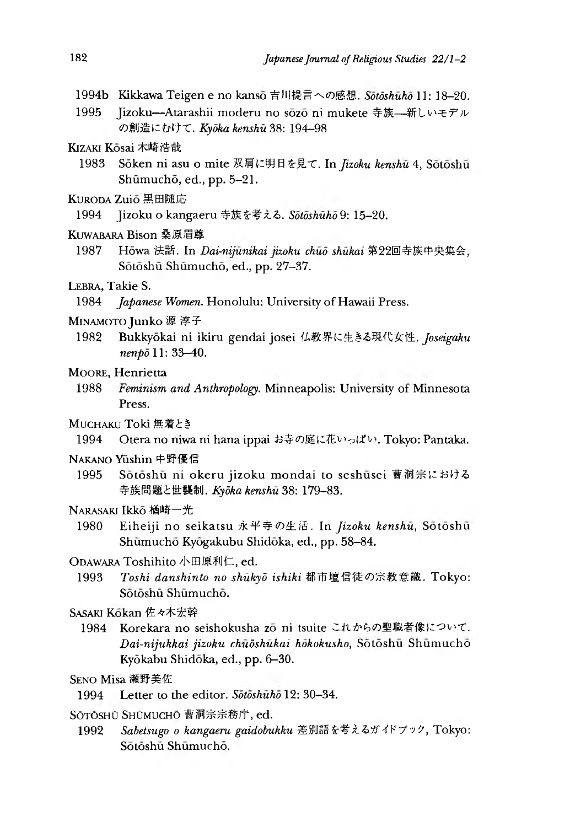- 1994b Kikkawa Teigen e no kanso 吉川提言への感想*. Sotdshuho* 11:18-20.
- 1995 Jizoku—Atarashii moderu no sōzō ni mukete 寺族—新しいモデル の創造にむけて*. Kydka kenshu* 38:194-98
- KIZAKI Kosai 木崎浩哉
	- 1983 Sōken ni asu o mite 双肩に明日を見て. In *Jizoku kenshū* 4, Sōtōshū Shūmuchō, ed., pp. 5-21.
- **KURODA Zuio 黒田随応** 
	- 1994 Jizoku o kangaeru 寺族を考える*. Sotoshuho* 9:15-20.
- KUWABARA Bison 桑原眉尊
	- 1987 Howa 法話. In *Dai-nijunikai jizoku chuo shukai* 第22回寺族中央集会, Sōtōshū Shūmuchō, ed., pp. 27-37.

#### Lebra, Takie S.

1984 *Japanese Women.* Honolulu: University of Hawaii Press.

#### MINAMOTO Junko 源 淳子

1982 Bukkyōkai ni ikiru gendai josei 仏教界に生きる現代女性. Joseigaku *nenpd* 11**:**33**—** 40**.**

## MOORE, Henrietta

1988 *Feminism and Anthropology.* Minneapolis: University of Minnesota Press.

## MUCHAKU Toki 無着とき

1994 Otera no niwa ni hana ippai お寺の庭に花いっぱい. Tokyo: Pantaka.

#### NAKANO Yushin 中野優信

1995 Sōtōshū ni okeru jizoku mondai to seshūsei 曹洞宗における 寺族問題と世襲制*. Kydka kenshu* 38:179-83.

#### NARASAKI Ikkō 楢崎一光

1980 Eiheiji no seikatsu 永平寺の生活,In *Jizoku kenshu,* Sotoshu Shumucho Kyogakubu Shidoka, ed., pp. 58-84.

#### ODAWARA Toshihito 小田原利仁, ed.

1993 *Toshi danshinto no shukyd ishiki* 都市壇信徒の宗教意識. Tokyo: Sōtōshū Shūmuchō.

## Sasaki Kokan 佐々木宏幹

1984 Korekara no seishokusha zō ni tsuite これからの聖職者像について. *Dai-nijukkai jizoku chudshukai hdkokusho*,Sotoshu Shumucho Kyokabu Shidoka, ed., pp. 6-30.

## SENO Misa 瀬野美佐

1994 Letter to the editor, *Sotoshuho* 12: 30-34.

## SOTOSHU SHUMUCHO 曹洞宗宗務庁.ed.

1992 *Sabetsugo o kangaeru gaidobukku*差別語を考えるガイドブック,Tokyo: Sōtōshū Shūmuchō.